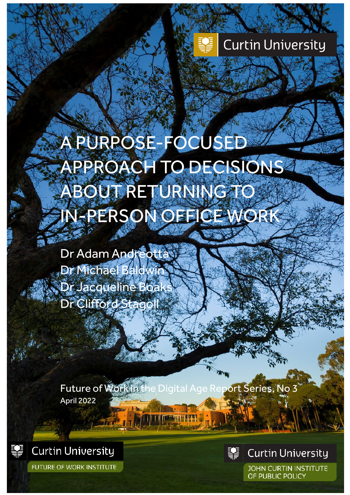## **Curtin University**

# A PURPOSE-FOCUSED APPROACH TO DECISIONS ABOUT RETURNING TO IN-PERSON OFFICE WORK

Dr Adam Andreotta Dr Michael Baldwin Dr Jacqueline Boa Dr Clifford Stagoll

Future of Work in the Digital Age Report Series, No 3 April 2022



**Curtin University** 

**FUTURE OF WORK INSTITUTE** 



**Curtin University** 

**JOHN CURTIN INSTITUTE** OF PUBLIC POLICY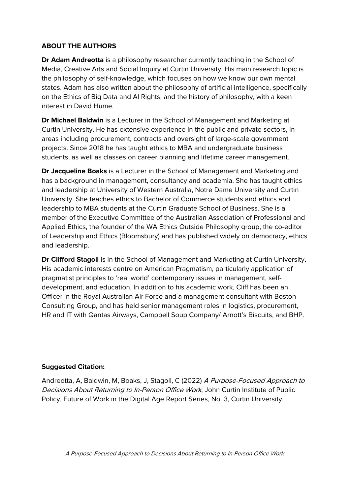#### **ABOUT THE AUTHORS**

**Dr Adam Andreotta** is a philosophy researcher currently teaching in the School of Media, Creative Arts and Social Inquiry at Curtin University. His main research topic is the philosophy of self-knowledge, which focuses on how we know our own mental states. Adam has also written about the philosophy of artificial intelligence, specifically on the Ethics of Big Data and AI Rights; and the history of philosophy, with a keen interest in David Hume.

**Dr Michael Baldwin** is a Lecturer in the School of Management and Marketing at Curtin University. He has extensive experience in the public and private sectors, in areas including procurement, contracts and oversight of large-scale government projects. Since 2018 he has taught ethics to MBA and undergraduate business students, as well as classes on career planning and lifetime career management.

**Dr Jacqueline Boaks** is a Lecturer in the School of Management and Marketing and has a background in management, consultancy and academia. She has taught ethics and leadership at University of Western Australia, Notre Dame University and Curtin University. She teaches ethics to Bachelor of Commerce students and ethics and leadership to MBA students at the Curtin Graduate School of Business. She is a member of the Executive Committee of the Australian Association of Professional and Applied Ethics, the founder of the WA Ethics Outside Philosophy group, the co-editor of Leadership and Ethics (Bloomsbury) and has published widely on democracy, ethics and leadership.

**Dr Clifford Stagoll** is in the School of Management and Marketing at Curtin University**.** His academic interests centre on American Pragmatism, particularly application of pragmatist principles to 'real world' contemporary issues in management, selfdevelopment, and education. In addition to his academic work, Cliff has been an Officer in the Royal Australian Air Force and a management consultant with Boston Consulting Group, and has held senior management roles in logistics, procurement, HR and IT with Qantas Airways, Campbell Soup Company/ Arnott's Biscuits, and BHP.

#### **Suggested Citation:**

Andreotta, A, Baldwin, M, Boaks, J, Stagoll, C (2022) A Purpose-Focused Approach to Decisions About Returning to In-Person Office Work, John Curtin Institute of Public Policy, Future of Work in the Digital Age Report Series, No. 3, Curtin University.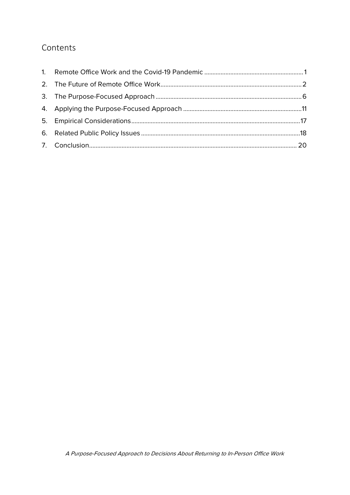### Contents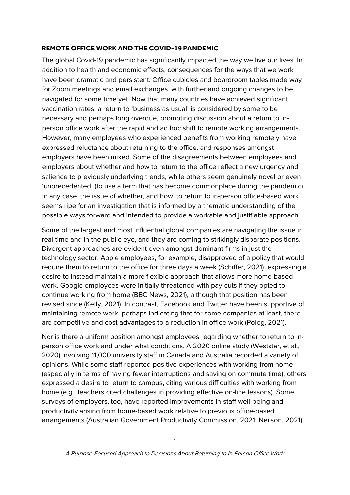#### <span id="page-3-0"></span>**REMOTE OFFICE WORK AND THE COVID-19 PANDEMIC**

The global Covid-19 pandemic has significantly impacted the way we live our lives. In addition to health and economic effects, consequences for the ways that we work have been dramatic and persistent. Office cubicles and boardroom tables made way for Zoom meetings and email exchanges, with further and ongoing changes to be navigated for some time yet. Now that many countries have achieved significant vaccination rates, a return to 'business as usual' is considered by some to be necessary and perhaps long overdue, prompting discussion about a return to inperson office work after the rapid and ad hoc shift to remote working arrangements. However, many employees who experienced benefits from working remotely have expressed reluctance about returning to the office, and responses amongst employers have been mixed. Some of the disagreements between employees and employers about whether and how to return to the office reflect a new urgency and salience to previously underlying trends, while others seem genuinely novel or even 'unprecedented' (to use a term that has become commonplace during the pandemic). In any case, the issue of whether, and how, to return to in-person office-based work seems ripe for an investigation that is informed by a thematic understanding of the possible ways forward and intended to provide a workable and justifiable approach.

Some of the largest and most influential global companies are navigating the issue in real time and in the public eye, and they are coming to strikingly disparate positions. Divergent approaches are evident even amongst dominant firms in just the technology sector. Apple employees, for example, disapproved of a policy that would require them to return to the office for three days a week (Schiffer, 2021), expressing a desire to instead maintain a more flexible approach that allows more home-based work. Google employees were initially threatened with pay cuts if they opted to continue working from home (BBC News, 2021), although that position has been revised since (Kelly, 2021). In contrast, Facebook and Twitter have been supportive of maintaining remote work, perhaps indicating that for some companies at least, there are competitive and cost advantages to a reduction in office work (Poleg, 2021).

Nor is there a uniform position amongst employees regarding whether to return to inperson office work and under what conditions. A 2020 online study (Weststar, et al., 2020) involving 11,000 university staff in Canada and Australia recorded a variety of opinions. While some staff reported positive experiences with working from home (especially in terms of having fewer interruptions and saving on commute time), others expressed a desire to return to campus, citing various difficulties with working from home (e.g., teachers cited challenges in providing effective on-line lessons). Some surveys of employers, too, have reported improvements in staff well-being and productivity arising from home-based work relative to previous office-based arrangements (Australian Government Productivity Commission, 2021; Neilson, 2021).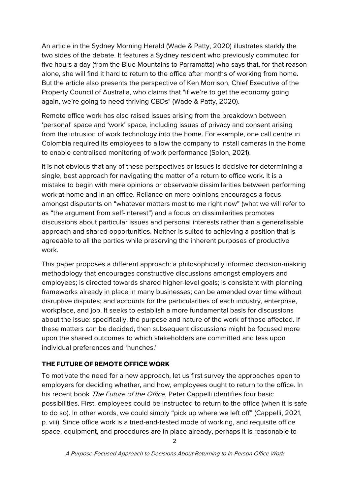An article in the Sydney Morning Herald (Wade & Patty, 2020) illustrates starkly the two sides of the debate. It features a Sydney resident who previously commuted for five hours a day (from the Blue Mountains to Parramatta) who says that, for that reason alone, she will find it hard to return to the office after months of working from home. But the article also presents the perspective of Ken Morrison, Chief Executive of the Property Council of Australia, who claims that "if we're to get the economy going again, we're going to need thriving CBDs" (Wade & Patty, 2020).

Remote office work has also raised issues arising from the breakdown between 'personal' space and 'work' space, including issues of privacy and consent arising from the intrusion of work technology into the home. For example, one call centre in Colombia required its employees to allow the company to install cameras in the home to enable centralised monitoring of work performance (Solon, 2021).

It is not obvious that any of these perspectives or issues is decisive for determining a single, best approach for navigating the matter of a return to office work. It is a mistake to begin with mere opinions or observable dissimilarities between performing work at home and in an office. Reliance on mere opinions encourages a focus amongst disputants on "whatever matters most to me right now" (what we will refer to as "the argument from self-interest") and a focus on dissimilarities promotes discussions about particular issues and personal interests rather than a generalisable approach and shared opportunities. Neither is suited to achieving a position that is agreeable to all the parties while preserving the inherent purposes of productive work.

This paper proposes a different approach: a philosophically informed decision-making methodology that encourages constructive discussions amongst employers and employees; is directed towards shared higher-level goals; is consistent with planning frameworks already in place in many businesses; can be amended over time without disruptive disputes; and accounts for the particularities of each industry, enterprise, workplace, and job. It seeks to establish a more fundamental basis for discussions about the issue: specifically, the purpose and nature of the work of those affected. If these matters can be decided, then subsequent discussions might be focused more upon the shared outcomes to which stakeholders are committed and less upon individual preferences and 'hunches.'

#### <span id="page-4-0"></span>**THE FUTURE OF REMOTE OFFICE WORK**

To motivate the need for a new approach, let us first survey the approaches open to employers for deciding whether, and how, employees ought to return to the office. In his recent book The Future of the Office, Peter Cappelli identifies four basic possibilities. First, employees could be instructed to return to the office (when it is safe to do so). In other words, we could simply "pick up where we left off" (Cappelli, 2021, p. viii). Since office work is a tried-and-tested mode of working, and requisite office space, equipment, and procedures are in place already, perhaps it is reasonable to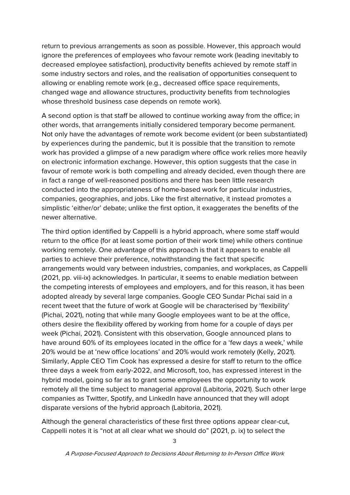return to previous arrangements as soon as possible. However, this approach would ignore the preferences of employees who favour remote work (leading inevitably to decreased employee satisfaction), productivity benefits achieved by remote staff in some industry sectors and roles, and the realisation of opportunities consequent to allowing or enabling remote work (e.g., decreased office space requirements, changed wage and allowance structures, productivity benefits from technologies whose threshold business case depends on remote work).

A second option is that staff be allowed to continue working away from the office; in other words, that arrangements initially considered temporary become permanent. Not only have the advantages of remote work become evident (or been substantiated) by experiences during the pandemic, but it is possible that the transition to remote work has provided a glimpse of a new paradigm where office work relies more heavily on electronic information exchange. However, this option suggests that the case in favour of remote work is both compelling and already decided, even though there are in fact a range of well-reasoned positions and there has been little research conducted into the appropriateness of home-based work for particular industries, companies, geographies, and jobs. Like the first alternative, it instead promotes a simplistic 'either/or' debate; unlike the first option, it exaggerates the benefits of the newer alternative.

The third option identified by Cappelli is a hybrid approach, where some staff would return to the office (for at least some portion of their work time) while others continue working remotely. One advantage of this approach is that it appears to enable all parties to achieve their preference, notwithstanding the fact that specific arrangements would vary between industries, companies, and workplaces, as Cappelli (2021, pp. viii-ix) acknowledges. In particular, it seems to enable mediation between the competing interests of employees and employers, and for this reason, it has been adopted already by several large companies. Google CEO Sundar Pichai said in a recent tweet that the future of work at Google will be characterised by 'flexibility' (Pichai, 2021), noting that while many Google employees want to be at the office, others desire the flexibility offered by working from home for a couple of days per week (Pichai, 2021). Consistent with this observation, Google announced plans to have around 60% of its employees located in the office for a 'few days a week,' while 20% would be at 'new office locations' and 20% would work remotely (Kelly, 2021). Similarly, Apple CEO Tim Cook has expressed a desire for staff to return to the office three days a week from early-2022, and Microsoft, too, has expressed interest in the hybrid model, going so far as to grant some employees the opportunity to work remotely all the time subject to managerial approval (Labitoria, 2021). Such other large companies as Twitter, Spotify, and LinkedIn have announced that they will adopt disparate versions of the hybrid approach (Labitoria, 2021).

Although the general characteristics of these first three options appear clear-cut, Cappelli notes it is "not at all clear what we should do" (2021, p. ix) to select the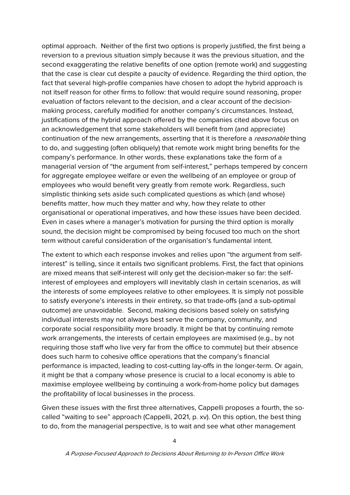optimal approach. Neither of the first two options is properly justified, the first being a reversion to a previous situation simply because it was the previous situation, and the second exaggerating the relative benefits of one option (remote work) and suggesting that the case is clear cut despite a paucity of evidence. Regarding the third option, the fact that several high-profile companies have chosen to adopt the hybrid approach is not itself reason for other firms to follow: that would require sound reasoning, proper evaluation of factors relevant to the decision, and a clear account of the decisionmaking process, carefully modified for another company's circumstances. Instead, justifications of the hybrid approach offered by the companies cited above focus on an acknowledgement that some stakeholders will benefit from (and appreciate) continuation of the new arrangements, asserting that it is therefore a reasonable thing to do, and suggesting (often obliquely) that remote work might bring benefits for the company's performance. In other words, these explanations take the form of a managerial version of "the argument from self-interest," perhaps tempered by concern for aggregate employee welfare or even the wellbeing of an employee or group of employees who would benefit very greatly from remote work. Regardless, such simplistic thinking sets aside such complicated questions as which (and whose) benefits matter, how much they matter and why, how they relate to other organisational or operational imperatives, and how these issues have been decided. Even in cases where a manager's motivation for pursing the third option is morally sound, the decision might be compromised by being focused too much on the short term without careful consideration of the organisation's fundamental intent.

The extent to which each response invokes and relies upon "the argument from selfinterest" is telling, since it entails two significant problems. First, the fact that opinions are mixed means that self-interest will only get the decision-maker so far: the selfinterest of employees and employers will inevitably clash in certain scenarios, as will the interests of some employees relative to other employees. It is simply not possible to satisfy everyone's interests in their entirety, so that trade-offs (and a sub-optimal outcome) are unavoidable. Second, making decisions based solely on satisfying individual interests may not always best serve the company, community, and corporate social responsibility more broadly. It might be that by continuing remote work arrangements, the interests of certain employees are maximised (e.g., by not requiring those staff who live very far from the office to commute) but their absence does such harm to cohesive office operations that the company's financial performance is impacted, leading to cost-cutting lay-offs in the longer-term. Or again, it might be that a company whose presence is crucial to a local economy is able to maximise employee wellbeing by continuing a work-from-home policy but damages the profitability of local businesses in the process.

Given these issues with the first three alternatives, Cappelli proposes a fourth, the socalled "waiting to see" approach (Cappelli, 2021, p. xv). On this option, the best thing to do, from the managerial perspective, is to wait and see what other management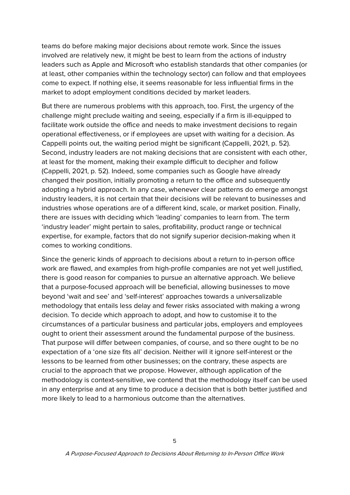teams do before making major decisions about remote work. Since the issues involved are relatively new, it might be best to learn from the actions of industry leaders such as Apple and Microsoft who establish standards that other companies (or at least, other companies within the technology sector) can follow and that employees come to expect. If nothing else, it seems reasonable for less influential firms in the market to adopt employment conditions decided by market leaders.

But there are numerous problems with this approach, too. First, the urgency of the challenge might preclude waiting and seeing, especially if a firm is ill-equipped to facilitate work outside the office and needs to make investment decisions to regain operational effectiveness, or if employees are upset with waiting for a decision. As Cappelli points out, the waiting period might be significant (Cappelli, 2021, p. 52). Second, industry leaders are not making decisions that are consistent with each other, at least for the moment, making their example difficult to decipher and follow (Cappelli, 2021, p. 52). Indeed, some companies such as Google have already changed their position, initially promoting a return to the office and subsequently adopting a hybrid approach. In any case, whenever clear patterns do emerge amongst industry leaders, it is not certain that their decisions will be relevant to businesses and industries whose operations are of a different kind, scale, or market position. Finally, there are issues with deciding which 'leading' companies to learn from. The term 'industry leader' might pertain to sales, profitability, product range or technical expertise, for example, factors that do not signify superior decision-making when it comes to working conditions.

Since the generic kinds of approach to decisions about a return to in-person office work are flawed, and examples from high-profile companies are not yet well justified, there is good reason for companies to pursue an alternative approach. We believe that a purpose-focused approach will be beneficial, allowing businesses to move beyond 'wait and see' and 'self-interest' approaches towards a universalizable methodology that entails less delay and fewer risks associated with making a wrong decision. To decide which approach to adopt, and how to customise it to the circumstances of a particular business and particular jobs, employers and employees ought to orient their assessment around the fundamental purpose of the business. That purpose will differ between companies, of course, and so there ought to be no expectation of a 'one size fits all' decision. Neither will it ignore self-interest or the lessons to be learned from other businesses; on the contrary, these aspects are crucial to the approach that we propose. However, although application of the methodology is context-sensitive, we contend that the methodology itself can be used in any enterprise and at any time to produce a decision that is both better justified and more likely to lead to a harmonious outcome than the alternatives.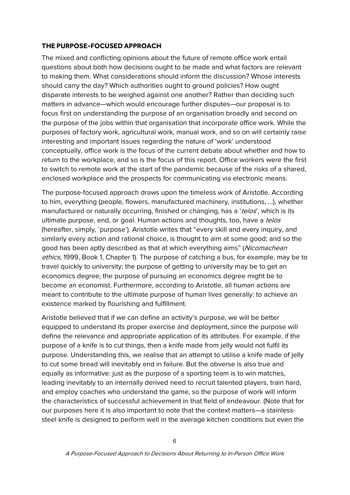#### <span id="page-8-0"></span>**THE PURPOSE-FOCUSED APPROACH**

The mixed and conflicting opinions about the future of remote office work entail questions about both how decisions ought to be made and what factors are relevant to making them. What considerations should inform the discussion? Whose interests should carry the day? Which authorities ought to ground policies? How ought disparate interests to be weighed against one another? Rather than deciding such matters in advance—which would encourage further disputes—our proposal is to focus first on understanding the purpose of an organisation broadly and second on the purpose of the jobs within that organisation that incorporate office work. While the purposes of factory work, agricultural work, manual work, and so on will certainly raise interesting and important issues regarding the nature of 'work' understood conceptually, office work is the focus of the current debate about whether and how to return to the workplace, and so is the focus of this report. Office workers were the first to switch to remote work at the start of the pandemic because of the risks of a shared, enclosed workplace and the prospects for communicating via electronic means.

The purpose-focused approach draws upon the timeless work of Aristotle. According to him, everything (people, flowers, manufactured machinery, institutions, …), whether manufactured or naturally occurring, finished or changing, has a 'telos', which is its ultimate purpose, end, or goal. Human actions and thoughts, too, have a telos (hereafter, simply, 'purpose'). Aristotle writes that "every skill and every inquiry, and similarly every action and rational choice, is thought to aim at some good; and so the good has been aptly described as that at which everything aims" (Nicomachean ethics, 1999, Book 1, Chapter 1). The purpose of catching a bus, for example, may be to travel quickly to university; the purpose of getting to university may be to get an economics degree; the purpose of pursuing an economics degree might be to become an economist. Furthermore, according to Aristotle, all human actions are meant to contribute to the ultimate purpose of human lives generally: to achieve an existence marked by flourishing and fulfillment.

Aristotle believed that if we can define an activity's purpose, we will be better equipped to understand its proper exercise and deployment, since the purpose will define the relevance and appropriate application of its attributes. For example, if the purpose of a knife is to cut things, then a knife made from jelly would not fulfil its purpose. Understanding this, we realise that an attempt to utilise a knife made of jelly to cut some bread will inevitably end in failure. But the obverse is also true and equally as informative: just as the purpose of a sporting team is to win matches, leading inevitably to an internally derived need to recruit talented players, train hard, and employ coaches who understand the game, so the purpose of work will inform the characteristics of successful achievement in that field of endeavour. (Note that for our purposes here it is also important to note that the context matters—a stainlesssteel knife is designed to perform well in the average kitchen conditions but even the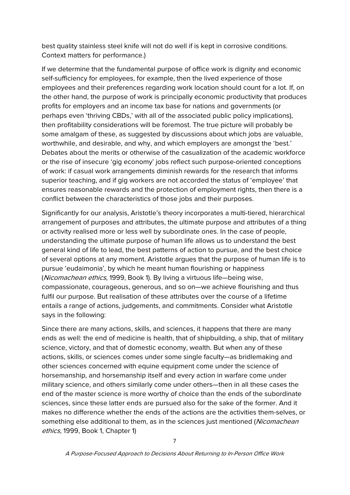best quality stainless steel knife will not do well if is kept in corrosive conditions. Context matters for performance.)

If we determine that the fundamental purpose of office work is dignity and economic self-sufficiency for employees, for example, then the lived experience of those employees and their preferences regarding work location should count for a lot. If, on the other hand, the purpose of work is principally economic productivity that produces profits for employers and an income tax base for nations and governments (or perhaps even 'thriving CBDs,' with all of the associated public policy implications), then profitability considerations will be foremost. The true picture will probably be some amalgam of these, as suggested by discussions about which jobs are valuable, worthwhile, and desirable, and why, and which employers are amongst the 'best.' Debates about the merits or otherwise of the casualization of the academic workforce or the rise of insecure 'gig economy' jobs reflect such purpose-oriented conceptions of work: if casual work arrangements diminish rewards for the research that informs superior teaching, and if gig workers are not accorded the status of 'employee' that ensures reasonable rewards and the protection of employment rights, then there is a conflict between the characteristics of those jobs and their purposes.

Significantly for our analysis, Aristotle's theory incorporates a multi-tiered, hierarchical arrangement of purposes and attributes, the ultimate purpose and attributes of a thing or activity realised more or less well by subordinate ones. In the case of people, understanding the ultimate purpose of human life allows us to understand the best general kind of life to lead, the best patterns of action to pursue, and the best choice of several options at any moment. Aristotle argues that the purpose of human life is to pursue 'eudaimonia', by which he meant human flourishing or happiness (Nicomachean ethics, 1999, Book 1). By living a virtuous life—being wise, compassionate, courageous, generous, and so on—we achieve flourishing and thus fulfil our purpose. But realisation of these attributes over the course of a lifetime entails a range of actions, judgements, and commitments. Consider what Aristotle says in the following:

Since there are many actions, skills, and sciences, it happens that there are many ends as well: the end of medicine is health, that of shipbuilding, a ship, that of military science, victory, and that of domestic economy, wealth. But when any of these actions, skills, or sciences comes under some single faculty—as bridlemaking and other sciences concerned with equine equipment come under the science of horsemanship, and horsemanship itself and every action in warfare come under military science, and others similarly come under others—then in all these cases the end of the master science is more worthy of choice than the ends of the subordinate sciences, since these latter ends are pursued also for the sake of the former. And it makes no difference whether the ends of the actions are the activities them-selves, or something else additional to them, as in the sciences just mentioned (Nicomachean) ethics, 1999, Book 1, Chapter 1)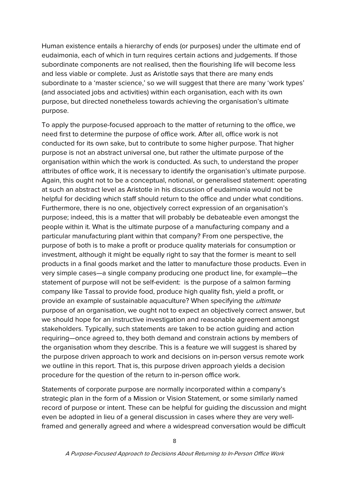Human existence entails a hierarchy of ends (or purposes) under the ultimate end of eudaimonia, each of which in turn requires certain actions and judgements. If those subordinate components are not realised, then the flourishing life will become less and less viable or complete. Just as Aristotle says that there are many ends subordinate to a 'master science,' so we will suggest that there are many 'work types' (and associated jobs and activities) within each organisation, each with its own purpose, but directed nonetheless towards achieving the organisation's ultimate purpose.

To apply the purpose-focused approach to the matter of returning to the office, we need first to determine the purpose of office work. After all, office work is not conducted for its own sake, but to contribute to some higher purpose. That higher purpose is not an abstract universal one, but rather the ultimate purpose of the organisation within which the work is conducted. As such, to understand the proper attributes of office work, it is necessary to identify the organisation's ultimate purpose. Again, this ought not to be a conceptual, notional, or generalised statement: operating at such an abstract level as Aristotle in his discussion of eudaimonia would not be helpful for deciding which staff should return to the office and under what conditions. Furthermore, there is no one, objectively correct expression of an organisation's purpose; indeed, this is a matter that will probably be debateable even amongst the people within it. What is the ultimate purpose of a manufacturing company and a particular manufacturing plant within that company? From one perspective, the purpose of both is to make a profit or produce quality materials for consumption or investment, although it might be equally right to say that the former is meant to sell products in a final goods market and the latter to manufacture those products. Even in very simple cases—a single company producing one product line, for example—the statement of purpose will not be self-evident: is the purpose of a salmon farming company like Tassal to provide food, produce high quality fish, yield a profit, or provide an example of sustainable aquaculture? When specifying the *ultimate* purpose of an organisation, we ought not to expect an objectively correct answer, but we should hope for an instructive investigation and reasonable agreement amongst stakeholders. Typically, such statements are taken to be action guiding and action requiring—once agreed to, they both demand and constrain actions by members of the organisation whom they describe. This is a feature we will suggest is shared by the purpose driven approach to work and decisions on in-person versus remote work we outline in this report. That is, this purpose driven approach yields a decision procedure for the question of the return to in-person office work.

Statements of corporate purpose are normally incorporated within a company's strategic plan in the form of a Mission or Vision Statement, or some similarly named record of purpose or intent. These can be helpful for guiding the discussion and might even be adopted in lieu of a general discussion in cases where they are very wellframed and generally agreed and where a widespread conversation would be difficult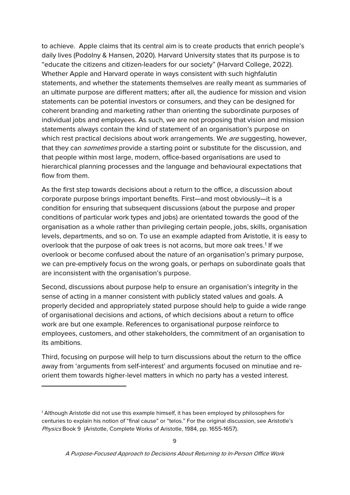to achieve. Apple claims that its central aim is to create products that enrich people's daily lives (Podolny & Hansen, 2020). Harvard University states that its purpose is to "educate the citizens and citizen-leaders for our society" (Harvard College, 2022). Whether Apple and Harvard operate in ways consistent with such highfalutin statements, and whether the statements themselves are really meant as summaries of an ultimate purpose are different matters; after all, the audience for mission and vision statements can be potential investors or consumers, and they can be designed for coherent branding and marketing rather than orienting the subordinate purposes of individual jobs and employees. As such, we are not proposing that vision and mission statements always contain the kind of statement of an organisation's purpose on which rest practical decisions about work arrangements. We are suggesting, however, that they can *sometimes* provide a starting point or substitute for the discussion, and that people within most large, modern, office-based organisations are used to hierarchical planning processes and the language and behavioural expectations that flow from them.

As the first step towards decisions about a return to the office, a discussion about corporate purpose brings important benefits. First—and most obviously—it is a condition for ensuring that subsequent discussions (about the purpose and proper conditions of particular work types and jobs) are orientated towards the good of the organisation as a whole rather than privileging certain people, jobs, skills, organisation levels, departments, and so on. To use an example adapted from Aristotle, it is easy to overlook that the purpose of oak trees is not acorns, but more oak trees. [1](#page-11-0) If we overlook or become confused about the nature of an organisation's primary purpose, we can pre-emptively focus on the wrong goals, or perhaps on subordinate goals that are inconsistent with the organisation's purpose.

Second, discussions about purpose help to ensure an organisation's integrity in the sense of acting in a manner consistent with publicly stated values and goals. A properly decided and appropriately stated purpose should help to guide a wide range of organisational decisions and actions, of which decisions about a return to office work are but one example. References to organisational purpose reinforce to employees, customers, and other stakeholders, the commitment of an organisation to its ambitions.

Third, focusing on purpose will help to turn discussions about the return to the office away from 'arguments from self-interest' and arguments focused on minutiae and reorient them towards higher-level matters in which no party has a vested interest.

-

<span id="page-11-0"></span><sup>1</sup> Although Aristotle did not use this example himself, it has been employed by philosophers for centuries to explain his notion of "final cause" or "telos." For the original discussion, see Aristotle's Physics Book 9 (Aristotle, Complete Works of Aristotle, 1984, pp. 1655-1657).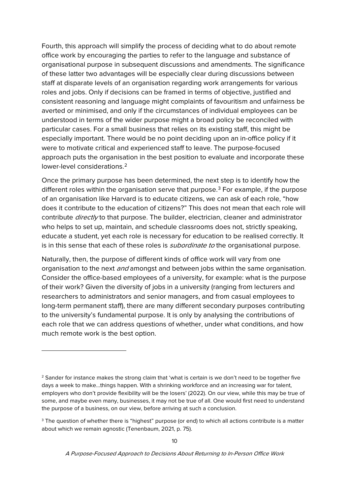Fourth, this approach will simplify the process of deciding what to do about remote office work by encouraging the parties to refer to the language and substance of organisational purpose in subsequent discussions and amendments. The significance of these latter two advantages will be especially clear during discussions between staff at disparate levels of an organisation regarding work arrangements for various roles and jobs. Only if decisions can be framed in terms of objective, justified and consistent reasoning and language might complaints of favouritism and unfairness be averted or minimised, and only if the circumstances of individual employees can be understood in terms of the wider purpose might a broad policy be reconciled with particular cases. For a small business that relies on its existing staff, this might be especially important. There would be no point deciding upon an in-office policy if it were to motivate critical and experienced staff to leave. The purpose-focused approach puts the organisation in the best position to evaluate and incorporate these lower-level considerations.[2](#page-12-0)

Once the primary purpose has been determined, the next step is to identify how the different roles within the organisation serve that purpose. [3](#page-12-1) For example, if the purpose of an organisation like Harvard is to educate citizens, we can ask of each role, "how does it contribute to the education of citizens?" This does not mean that each role will contribute  $\text{directly}$  to that purpose. The builder, electrician, cleaner and administrator who helps to set up, maintain, and schedule classrooms does not, strictly speaking, educate a student, yet each role is necessary for education to be realised correctly. It is in this sense that each of these roles is *subordinate to* the organisational purpose.

Naturally, then, the purpose of different kinds of office work will vary from one organisation to the next *and* amongst and between jobs within the same organisation. Consider the office-based employees of a university, for example: what is the purpose of their work? Given the diversity of jobs in a university (ranging from lecturers and researchers to administrators and senior managers, and from casual employees to long-term permanent staff), there are many different secondary purposes contributing to the university's fundamental purpose. It is only by analysing the contributions of each role that we can address questions of whether, under what conditions, and how much remote work is the best option.

-

<span id="page-12-0"></span><sup>&</sup>lt;sup>2</sup> Sander for instance makes the strong claim that 'what is certain is we don't need to be together five days a week to make…things happen. With a shrinking workforce and an increasing war for talent, employers who don't provide flexibility will be the losers' (2022). On our view, while this may be true of some, and maybe even many, businesses, it may not be true of all. One would first need to understand the purpose of a business, on our view, before arriving at such a conclusion.

<span id="page-12-1"></span><sup>&</sup>lt;sup>3</sup> The question of whether there is "highest" purpose (or end) to which all actions contribute is a matter about which we remain agnostic (Tenenbaum, 2021, p. 75).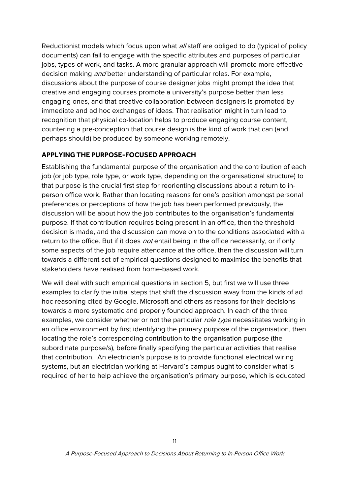Reductionist models which focus upon what all staff are obliged to do (typical of policy documents) can fail to engage with the specific attributes and purposes of particular jobs, types of work, and tasks. A more granular approach will promote more effective decision making *and* better understanding of particular roles. For example, discussions about the purpose of course designer jobs might prompt the idea that creative and engaging courses promote a university's purpose better than less engaging ones, and that creative collaboration between designers is promoted by immediate and ad hoc exchanges of ideas. That realisation might in turn lead to recognition that physical co-location helps to produce engaging course content, countering a pre-conception that course design is the kind of work that can (and perhaps should) be produced by someone working remotely.

#### <span id="page-13-0"></span>**APPLYING THE PURPOSE-FOCUSED APPROACH**

Establishing the fundamental purpose of the organisation and the contribution of each job (or job type, role type, or work type, depending on the organisational structure) to that purpose is the crucial first step for reorienting discussions about a return to inperson office work. Rather than locating reasons for one's position amongst personal preferences or perceptions of how the job has been performed previously, the discussion will be about how the job contributes to the organisation's fundamental purpose. If that contribution requires being present in an office, then the threshold decision is made, and the discussion can move on to the conditions associated with a return to the office. But if it does not entail being in the office necessarily, or if only some aspects of the job require attendance at the office, then the discussion will turn towards a different set of empirical questions designed to maximise the benefits that stakeholders have realised from home-based work.

We will deal with such empirical questions in section 5, but first we will use three examples to clarify the initial steps that shift the discussion away from the kinds of ad hoc reasoning cited by Google, Microsoft and others as reasons for their decisions towards a more systematic and properly founded approach. In each of the three examples, we consider whether or not the particular role type necessitates working in an office environment by first identifying the primary purpose of the organisation, then locating the role's corresponding contribution to the organisation purpose (the subordinate purpose/s), before finally specifying the particular activities that realise that contribution. An electrician's purpose is to provide functional electrical wiring systems, but an electrician working at Harvard's campus ought to consider what is required of her to help achieve the organisation's primary purpose, which is educated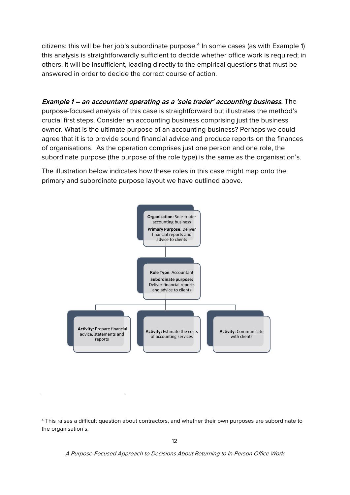citizens: this will be her job's subordinate purpose.<sup>[4](#page-14-0)</sup> In some cases (as with Example 1) this analysis is straightforwardly sufficient to decide whether office work is required; in others, it will be insufficient, leading directly to the empirical questions that must be answered in order to decide the correct course of action.

Example 1 – an accountant operating as a 'sole trader' accounting business. The purpose-focused analysis of this case is straightforward but illustrates the method's crucial first steps. Consider an accounting business comprising just the business owner. What is the ultimate purpose of an accounting business? Perhaps we could agree that it is to provide sound financial advice and produce reports on the finances of organisations. As the operation comprises just one person and one role, the subordinate purpose (the purpose of the role type) is the same as the organisation's.

The illustration below indicates how these roles in this case might map onto the primary and subordinate purpose layout we have outlined above.



-

A Purpose-Focused Approach to Decisions About Returning to In-Person Office Work

<span id="page-14-0"></span><sup>4</sup> This raises a difficult question about contractors, and whether their own purposes are subordinate to the organisation's.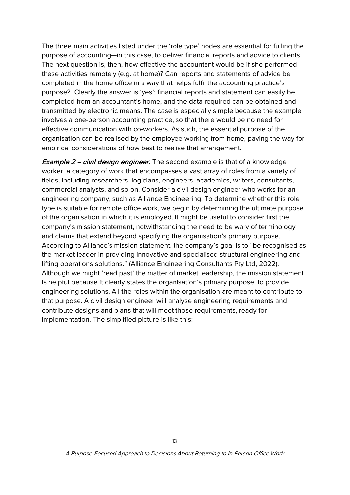The three main activities listed under the 'role type' nodes are essential for fulling the purpose of accounting—in this case, to deliver financial reports and advice to clients. The next question is, then, how effective the accountant would be if she performed these activities remotely (e.g. at home)? Can reports and statements of advice be completed in the home office in a way that helps fulfil the accounting practice's purpose? Clearly the answer is 'yes': financial reports and statement can easily be completed from an accountant's home, and the data required can be obtained and transmitted by electronic means. The case is especially simple because the example involves a one-person accounting practice, so that there would be no need for effective communication with co-workers. As such, the essential purpose of the organisation can be realised by the employee working from home, paving the way for empirical considerations of how best to realise that arrangement.

**Example 2 – civil design engineer.** The second example is that of a knowledge worker, a category of work that encompasses a vast array of roles from a variety of fields, including researchers, logicians, engineers, academics, writers, consultants, commercial analysts, and so on. Consider a civil design engineer who works for an engineering company, such as Alliance Engineering. To determine whether this role type is suitable for remote office work, we begin by determining the ultimate purpose of the organisation in which it is employed. It might be useful to consider first the company's mission statement, notwithstanding the need to be wary of terminology and claims that extend beyond specifying the organisation's primary purpose. According to Alliance's mission statement, the company's goal is to "be recognised as the market leader in providing innovative and specialised structural engineering and lifting operations solutions." (Alliance Engineering Consultants Pty Ltd, 2022). Although we might 'read past' the matter of market leadership, the mission statement is helpful because it clearly states the organisation's primary purpose: to provide engineering solutions. All the roles within the organisation are meant to contribute to that purpose. A civil design engineer will analyse engineering requirements and contribute designs and plans that will meet those requirements, ready for implementation. The simplified picture is like this: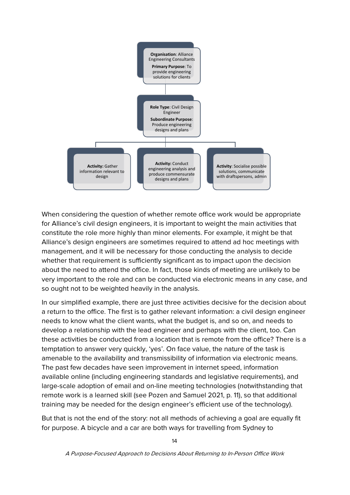

When considering the question of whether remote office work would be appropriate for Alliance's civil design engineers, it is important to weight the main activities that constitute the role more highly than minor elements. For example, it might be that Alliance's design engineers are sometimes required to attend ad hoc meetings with management, and it will be necessary for those conducting the analysis to decide whether that requirement is sufficiently significant as to impact upon the decision about the need to attend the office. In fact, those kinds of meeting are unlikely to be very important to the role and can be conducted via electronic means in any case, and so ought not to be weighted heavily in the analysis.

In our simplified example, there are just three activities decisive for the decision about a return to the office. The first is to gather relevant information: a civil design engineer needs to know what the client wants, what the budget is, and so on, and needs to develop a relationship with the lead engineer and perhaps with the client, too. Can these activities be conducted from a location that is remote from the office? There is a temptation to answer very quickly, 'yes'. On face value, the nature of the task is amenable to the availability and transmissibility of information via electronic means. The past few decades have seen improvement in internet speed, information available online (including engineering standards and legislative requirements), and large-scale adoption of email and on-line meeting technologies (notwithstanding that remote work is a learned skill (see Pozen and Samuel 2021, p. 11), so that additional training may be needed for the design engineer's efficient use of the technology).

But that is not the end of the story: not all methods of achieving a goal are equally fit for purpose. A bicycle and a car are both ways for travelling from Sydney to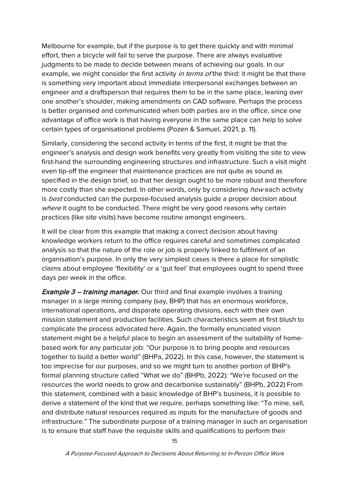Melbourne for example, but if the purpose is to get there quickly and with minimal effort, then a bicycle will fail to serve the purpose. There are always evaluative judgments to be made to decide between means of achieving our goals. In our example, we might consider the first activity in terms of the third: it might be that there is something very important about immediate interpersonal exchanges between an engineer and a draftsperson that requires them to be in the same place, leaning over one another's shoulder, making amendments on CAD software. Perhaps the process is better organised and communicated when both parties are in the office, since one advantage of office work is that having everyone in the same place can help to solve certain types of organisational problems (Pozen & Samuel, 2021, p. 11).

Similarly, considering the second activity in terms of the first, it might be that the engineer's analysis and design work benefits very greatly from visiting the site to view first-hand the surrounding engineering structures and infrastructure. Such a visit might even tip-off the engineer that maintenance practices are not quite as sound as specified in the design brief, so that her design ought to be more robust and therefore more costly than she expected. In other words, only by considering *how* each activity is *best* conducted can the purpose-focused analysis quide a proper decision about where it ought to be conducted. There might be very good reasons why certain practices (like site visits) have become routine amongst engineers.

It will be clear from this example that making a correct decision about having knowledge workers return to the office requires careful and sometimes complicated analysis so that the nature of the role or job is properly linked to fulfilment of an organisation's purpose. In only the very simplest cases is there a place for simplistic claims about employee 'flexibility' or a 'gut feel' that employees ought to spend three days per week in the office.

**Example 3 – training manager.** Our third and final example involves a training manager in a large mining company (say, BHP) that has an enormous workforce, international operations, and disparate operating divisions, each with their own mission statement and production facilities. Such characteristics seem at first blush to complicate the process advocated here. Again, the formally enunciated vision statement might be a helpful place to begin an assessment of the suitability of homebased work for any particular job: "Our purpose is to bring people and resources together to build a better world" (BHPa, 2022). In this case, however, the statement is too imprecise for our purposes, and so we might turn to another portion of BHP's formal planning structure called "What we do" (BHPb, 2022): "We're focused on the resources the world needs to grow and decarbonise sustainably" (BHPb, 2022) From this statement, combined with a basic knowledge of BHP's business, it is possible to derive a statement of the kind that we require, perhaps something like: "To mine, sell, and distribute natural resources required as inputs for the manufacture of goods and infrastructure." The subordinate purpose of a training manager in such an organisation is to ensure that staff have the requisite skills and qualifications to perform their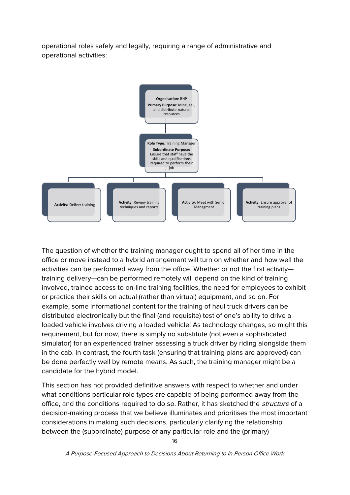operational roles safely and legally, requiring a range of administrative and operational activities:



The question of whether the training manager ought to spend all of her time in the office or move instead to a hybrid arrangement will turn on whether and how well the activities can be performed away from the office. Whether or not the first activity training delivery—can be performed remotely will depend on the kind of training involved, trainee access to on-line training facilities, the need for employees to exhibit or practice their skills on actual (rather than virtual) equipment, and so on. For example, some informational content for the training of haul truck drivers can be distributed electronically but the final (and requisite) test of one's ability to drive a loaded vehicle involves driving a loaded vehicle! As technology changes, so might this requirement, but for now, there is simply no substitute (not even a sophisticated simulator) for an experienced trainer assessing a truck driver by riding alongside them in the cab. In contrast, the fourth task (ensuring that training plans are approved) can be done perfectly well by remote means. As such, the training manager might be a candidate for the hybrid model.

This section has not provided definitive answers with respect to whether and under what conditions particular role types are capable of being performed away from the office, and the conditions required to do so. Rather, it has sketched the *structure* of a decision-making process that we believe illuminates and prioritises the most important considerations in making such decisions, particularly clarifying the relationship between the (subordinate) purpose of any particular role and the (primary)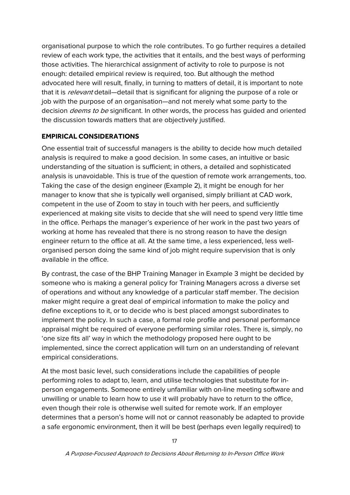organisational purpose to which the role contributes. To go further requires a detailed review of each work type, the activities that it entails, and the best ways of performing those activities. The hierarchical assignment of activity to role to purpose is not enough: detailed empirical review is required, too. But although the method advocated here will result, finally, in turning to matters of detail, it is important to note that it is *relevant* detail—detail that is significant for aligning the purpose of a role or job with the purpose of an organisation—and not merely what some party to the decision *deems to be* significant. In other words, the process has guided and oriented the discussion towards matters that are objectively justified.

#### <span id="page-19-0"></span>**EMPIRICAL CONSIDERATIONS**

One essential trait of successful managers is the ability to decide how much detailed analysis is required to make a good decision. In some cases, an intuitive or basic understanding of the situation is sufficient; in others, a detailed and sophisticated analysis is unavoidable. This is true of the question of remote work arrangements, too. Taking the case of the design engineer (Example 2), it might be enough for her manager to know that she is typically well organised, simply brilliant at CAD work, competent in the use of Zoom to stay in touch with her peers, and sufficiently experienced at making site visits to decide that she will need to spend very little time in the office. Perhaps the manager's experience of her work in the past two years of working at home has revealed that there is no strong reason to have the design engineer return to the office at all. At the same time, a less experienced, less wellorganised person doing the same kind of job might require supervision that is only available in the office.

By contrast, the case of the BHP Training Manager in Example 3 might be decided by someone who is making a general policy for Training Managers across a diverse set of operations and without any knowledge of a particular staff member. The decision maker might require a great deal of empirical information to make the policy and define exceptions to it, or to decide who is best placed amongst subordinates to implement the policy. In such a case, a formal role profile and personal performance appraisal might be required of everyone performing similar roles. There is, simply, no 'one size fits all' way in which the methodology proposed here ought to be implemented, since the correct application will turn on an understanding of relevant empirical considerations.

At the most basic level, such considerations include the capabilities of people performing roles to adapt to, learn, and utilise technologies that substitute for inperson engagements. Someone entirely unfamiliar with on-line meeting software and unwilling or unable to learn how to use it will probably have to return to the office, even though their role is otherwise well suited for remote work. If an employer determines that a person's home will not or cannot reasonably be adapted to provide a safe ergonomic environment, then it will be best (perhaps even legally required) to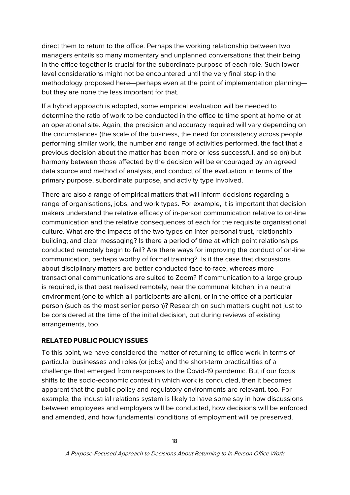direct them to return to the office. Perhaps the working relationship between two managers entails so many momentary and unplanned conversations that their being in the office together is crucial for the subordinate purpose of each role. Such lowerlevel considerations might not be encountered until the very final step in the methodology proposed here—perhaps even at the point of implementation planning but they are none the less important for that.

If a hybrid approach is adopted, some empirical evaluation will be needed to determine the ratio of work to be conducted in the office to time spent at home or at an operational site. Again, the precision and accuracy required will vary depending on the circumstances (the scale of the business, the need for consistency across people performing similar work, the number and range of activities performed, the fact that a previous decision about the matter has been more or less successful, and so on) but harmony between those affected by the decision will be encouraged by an agreed data source and method of analysis, and conduct of the evaluation in terms of the primary purpose, subordinate purpose, and activity type involved.

There are also a range of empirical matters that will inform decisions regarding a range of organisations, jobs, and work types. For example, it is important that decision makers understand the relative efficacy of in-person communication relative to on-line communication and the relative consequences of each for the requisite organisational culture. What are the impacts of the two types on inter-personal trust, relationship building, and clear messaging? Is there a period of time at which point relationships conducted remotely begin to fail? Are there ways for improving the conduct of on-line communication, perhaps worthy of formal training? Is it the case that discussions about disciplinary matters are better conducted face-to-face, whereas more transactional communications are suited to Zoom? If communication to a large group is required, is that best realised remotely, near the communal kitchen, in a neutral environment (one to which all participants are alien), or in the office of a particular person (such as the most senior person)? Research on such matters ought not just to be considered at the time of the initial decision, but during reviews of existing arrangements, too.

#### <span id="page-20-0"></span>**RELATED PUBLIC POLICY ISSUES**

To this point, we have considered the matter of returning to office work in terms of particular businesses and roles (or jobs) and the short-term practicalities of a challenge that emerged from responses to the Covid-19 pandemic. But if our focus shifts to the socio-economic context in which work is conducted, then it becomes apparent that the public policy and regulatory environments are relevant, too. For example, the industrial relations system is likely to have some say in how discussions between employees and employers will be conducted, how decisions will be enforced and amended, and how fundamental conditions of employment will be preserved.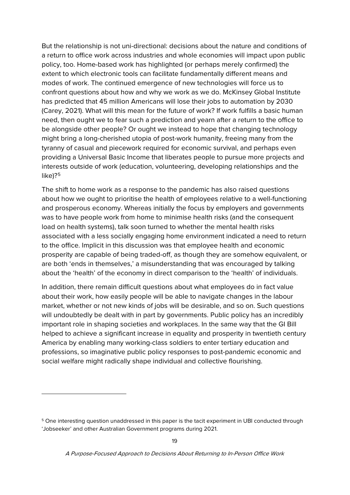But the relationship is not uni-directional: decisions about the nature and conditions of a return to office work across industries and whole economies will impact upon public policy, too. Home-based work has highlighted (or perhaps merely confirmed) the extent to which electronic tools can facilitate fundamentally different means and modes of work. The continued emergence of new technologies will force us to confront questions about how and why we work as we do. McKinsey Global Institute has predicted that 45 million Americans will lose their jobs to automation by 2030 (Carey, 2021). What will this mean for the future of work? If work fulfills a basic human need, then ought we to fear such a prediction and yearn after a return to the office to be alongside other people? Or ought we instead to hope that changing technology might bring a long-cherished utopia of post-work humanity, freeing many from the tyranny of casual and piecework required for economic survival, and perhaps even providing a Universal Basic Income that liberates people to pursue more projects and interests outside of work (education, volunteering, developing relationships and the like)?<sup>[5](#page-21-0)</sup>

The shift to home work as a response to the pandemic has also raised questions about how we ought to prioritise the health of employees relative to a well-functioning and prosperous economy. Whereas initially the focus by employers and governments was to have people work from home to minimise health risks (and the consequent load on health systems), talk soon turned to whether the mental health risks associated with a less socially engaging home environment indicated a need to return to the office. Implicit in this discussion was that employee health and economic prosperity are capable of being traded-off, as though they are somehow equivalent, or are both 'ends in themselves,' a misunderstanding that was encouraged by talking about the 'health' of the economy in direct comparison to the 'health' of individuals.

In addition, there remain difficult questions about what employees do in fact value about their work, how easily people will be able to navigate changes in the labour market, whether or not new kinds of jobs will be desirable, and so on. Such questions will undoubtedly be dealt with in part by governments. Public policy has an incredibly important role in shaping societies and workplaces. In the same way that the GI Bill helped to achieve a significant increase in equality and prosperity in twentieth century America by enabling many working-class soldiers to enter tertiary education and professions, so imaginative public policy responses to post-pandemic economic and social welfare might radically shape individual and collective flourishing.

-

<span id="page-21-0"></span><sup>&</sup>lt;sup>5</sup> One interesting question unaddressed in this paper is the tacit experiment in UBI conducted through 'Jobseeker' and other Australian Government programs during 2021.

A Purpose-Focused Approach to Decisions About Returning to In-Person Office Work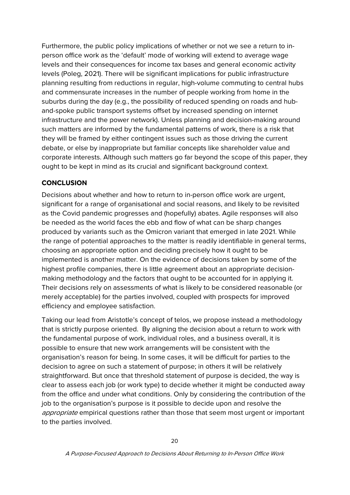Furthermore, the public policy implications of whether or not we see a return to inperson office work as the 'default' mode of working will extend to average wage levels and their consequences for income tax bases and general economic activity levels (Poleg, 2021). There will be significant implications for public infrastructure planning resulting from reductions in regular, high-volume commuting to central hubs and commensurate increases in the number of people working from home in the suburbs during the day (e.g., the possibility of reduced spending on roads and huband-spoke public transport systems offset by increased spending on internet infrastructure and the power network). Unless planning and decision-making around such matters are informed by the fundamental patterns of work, there is a risk that they will be framed by either contingent issues such as those driving the current debate, or else by inappropriate but familiar concepts like shareholder value and corporate interests. Although such matters go far beyond the scope of this paper, they ought to be kept in mind as its crucial and significant background context.

#### <span id="page-22-0"></span>**CONCLUSION**

Decisions about whether and how to return to in-person office work are urgent, significant for a range of organisational and social reasons, and likely to be revisited as the Covid pandemic progresses and (hopefully) abates. Agile responses will also be needed as the world faces the ebb and flow of what can be sharp changes produced by variants such as the Omicron variant that emerged in late 2021. While the range of potential approaches to the matter is readily identifiable in general terms, choosing an appropriate option and deciding precisely how it ought to be implemented is another matter. On the evidence of decisions taken by some of the highest profile companies, there is little agreement about an appropriate decisionmaking methodology and the factors that ought to be accounted for in applying it. Their decisions rely on assessments of what is likely to be considered reasonable (or merely acceptable) for the parties involved, coupled with prospects for improved efficiency and employee satisfaction.

Taking our lead from Aristotle's concept of telos, we propose instead a methodology that is strictly purpose oriented. By aligning the decision about a return to work with the fundamental purpose of work, individual roles, and a business overall, it is possible to ensure that new work arrangements will be consistent with the organisation's reason for being. In some cases, it will be difficult for parties to the decision to agree on such a statement of purpose; in others it will be relatively straightforward. But once that threshold statement of purpose is decided, the way is clear to assess each job (or work type) to decide whether it might be conducted away from the office and under what conditions. Only by considering the contribution of the job to the organisation's purpose is it possible to decide upon and resolve the appropriate empirical questions rather than those that seem most urgent or important to the parties involved.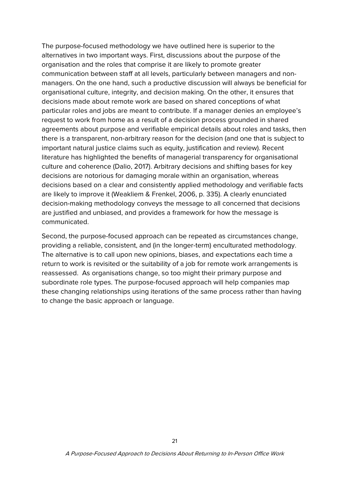The purpose-focused methodology we have outlined here is superior to the alternatives in two important ways. First, discussions about the purpose of the organisation and the roles that comprise it are likely to promote greater communication between staff at all levels, particularly between managers and nonmanagers. On the one hand, such a productive discussion will always be beneficial for organisational culture, integrity, and decision making. On the other, it ensures that decisions made about remote work are based on shared conceptions of what particular roles and jobs are meant to contribute. If a manager denies an employee's request to work from home as a result of a decision process grounded in shared agreements about purpose and verifiable empirical details about roles and tasks, then there is a transparent, non-arbitrary reason for the decision (and one that is subject to important natural justice claims such as equity, justification and review). Recent literature has highlighted the benefits of managerial transparency for organisational culture and coherence (Dalio, 2017). Arbitrary decisions and shifting bases for key decisions are notorious for damaging morale within an organisation, whereas decisions based on a clear and consistently applied methodology and verifiable facts are likely to improve it (Weakliem & Frenkel, 2006, p. 335). A clearly enunciated decision-making methodology conveys the message to all concerned that decisions are justified and unbiased, and provides a framework for how the message is communicated.

Second, the purpose-focused approach can be repeated as circumstances change, providing a reliable, consistent, and (in the longer-term) enculturated methodology. The alternative is to call upon new opinions, biases, and expectations each time a return to work is revisited or the suitability of a job for remote work arrangements is reassessed. As organisations change, so too might their primary purpose and subordinate role types. The purpose-focused approach will help companies map these changing relationships using iterations of the same process rather than having to change the basic approach or language.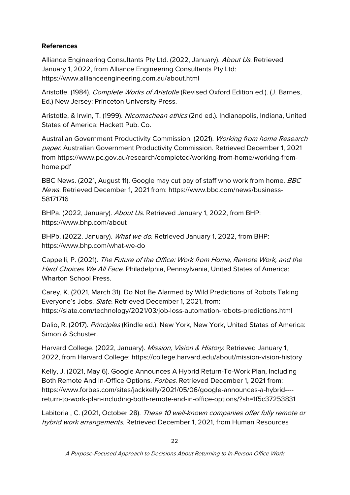#### **References**

Alliance Engineering Consultants Pty Ltd. (2022, January). About Us. Retrieved January 1, 2022, from Alliance Engineering Consultants Pty Ltd: https://www.allianceengineering.com.au/about.html

Aristotle. (1984). Complete Works of Aristotle (Revised Oxford Edition ed.). (J. Barnes, Ed.) New Jersey: Princeton University Press.

Aristotle, & Irwin, T. (1999). Nicomachean ethics (2nd ed.). Indianapolis, Indiana, United States of America: Hackett Pub. Co.

Australian Government Productivity Commission. (2021). Working from home Research paper. Australian Government Productivity Commission. Retrieved December 1, 2021 from https://www.pc.gov.au/research/completed/working-from-home/working-fromhome.pdf

BBC News. (2021, August 11). Google may cut pay of staff who work from home. BBC News. Retrieved December 1, 2021 from: https://www.bbc.com/news/business-58171716

BHPa. (2022, January). About Us. Retrieved January 1, 2022, from BHP: https://www.bhp.com/about

BHPb. (2022, January). What we do. Retrieved January 1, 2022, from BHP: https://www.bhp.com/what-we-do

Cappelli, P. (2021). The Future of the Office: Work from Home, Remote Work, and the Hard Choices We All Face. Philadelphia, Pennsylvania, United States of America: Wharton School Press.

Carey, K. (2021, March 31). Do Not Be Alarmed by Wild Predictions of Robots Taking Everyone's Jobs. Slate. Retrieved December 1, 2021, from: https://slate.com/technology/2021/03/job-loss-automation-robots-predictions.html

Dalio, R. (2017). Principles (Kindle ed.). New York, New York, United States of America: Simon & Schuster.

Harvard College. (2022, January). Mission, Vision & History. Retrieved January 1, 2022, from Harvard College: https://college.harvard.edu/about/mission-vision-history

Kelly, J. (2021, May 6). Google Announces A Hybrid Return-To-Work Plan, Including Both Remote And In-Office Options. Forbes. Retrieved December 1, 2021 from: https://www.forbes.com/sites/jackkelly/2021/05/06/google-announces-a-hybrid--- return-to-work-plan-including-both-remote-and-in-office-options/?sh=1f5c37253831

Labitoria , C. (2021, October 28). These 10 well-known companies offer fully remote or hybrid work arrangements. Retrieved December 1, 2021, from Human Resources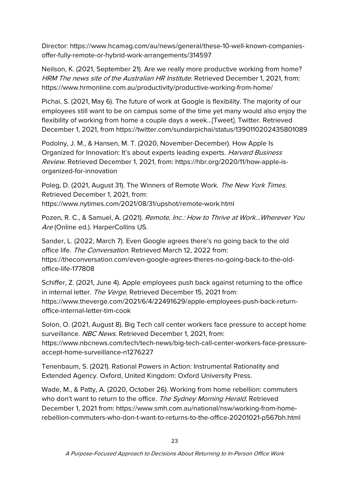Director: https://www.hcamag.com/au/news/general/these-10-well-known-companiesoffer-fully-remote-or-hybrid-work-arrangements/314597

Neilson, K. (2021, September 21). Are we really more productive working from home? HRM The news site of the Australian HR Institute. Retrieved December 1, 2021, from: https://www.hrmonline.com.au/productivity/productive-working-from-home/

Pichai, S. (2021, May 6). The future of work at Google is flexibility. The majority of our employees still want to be on campus some of the time yet many would also enjoy the flexibility of working from home a couple days a week…[Tweet]. Twitter. Retrieved December 1, 2021, from https://twitter.com/sundarpichai/status/1390110202435801089

Podolny, J. M., & Hansen, M. T. (2020, November-December). How Apple Is Organized for Innovation: It's about experts leading experts. Harvard Business Review. Retrieved December 1, 2021, from: https://hbr.org/2020/11/how-apple-isorganized-for-innovation

Poleg, D. (2021, August 31). The Winners of Remote Work. The New York Times. Retrieved December 1, 2021, from: https://www.nytimes.com/2021/08/31/upshot/remote-work.html

Pozen, R. C., & Samuel, A. (2021). Remote, Inc.: How to Thrive at Work...Wherever You Are (Online ed.). HarperCollins US.

Sander, L. (2022, March 7). Even Google agrees there's no going back to the old office life. The Conversation. Retrieved March 12, 2022 from: https://theconversation.com/even-google-agrees-theres-no-going-back-to-the-oldoffice-life-177808

Schiffer, Z. (2021, June 4). Apple employees push back against returning to the office in internal letter. The Verge. Retrieved December 15, 2021 from: https://www.theverge.com/2021/6/4/22491629/apple-employees-push-back-returnoffice-internal-letter-tim-cook

Solon, O. (2021, August 8). Big Tech call center workers face pressure to accept home surveillance. NBC News. Retrieved December 1, 2021, from: https://www.nbcnews.com/tech/tech-news/big-tech-call-center-workers-face-pressure-

accept-home-surveillance-n1276227

Tenenbaum, S. (2021). Rational Powers in Action: Instrumental Rationality and Extended Agency. Oxford, United Kingdom: Oxford University Press.

Wade, M., & Patty, A. (2020, October 26). Working from home rebellion: commuters who don't want to return to the office. The Sydney Morning Herald. Retrieved December 1, 2021 from: https://www.smh.com.au/national/nsw/working-from-homerebellion-commuters-who-don-t-want-to-returns-to-the-office-20201021-p567bh.html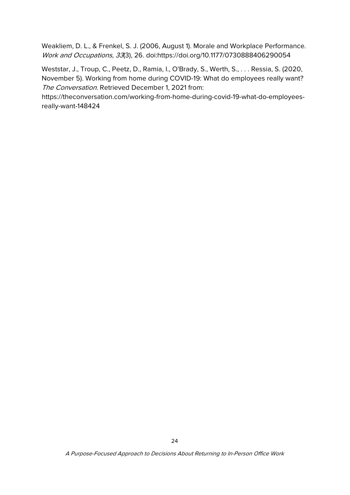Weakliem, D. L., & Frenkel, S. J. (2006, August 1). Morale and Workplace Performance. Work and Occupations, 33(3), 26. doi:https://doi.org/10.1177/0730888406290054

Weststar, J., Troup, C., Peetz, D., Ramia, I., O'Brady, S., Werth, S., . . . Ressia, S. (2020, November 5). Working from home during COVID-19: What do employees really want? The Conversation. Retrieved December 1, 2021 from:

https://theconversation.com/working-from-home-during-covid-19-what-do-employeesreally-want-148424